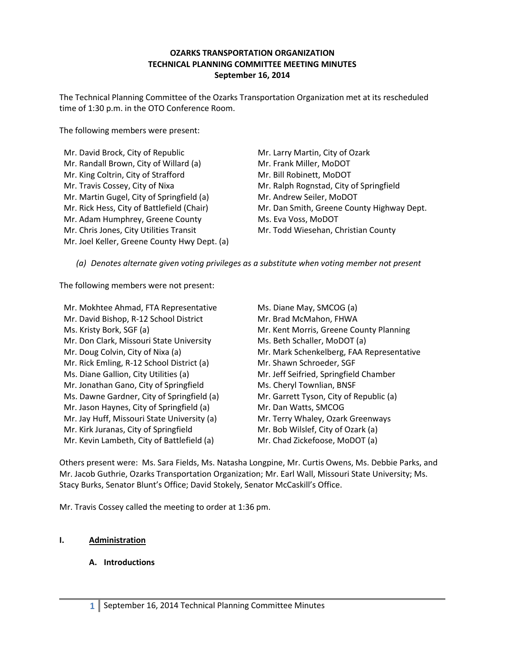### **OZARKS TRANSPORTATION ORGANIZATION TECHNICAL PLANNING COMMITTEE MEETING MINUTES September 16, 2014**

The Technical Planning Committee of the Ozarks Transportation Organization met at its rescheduled time of 1:30 p.m. in the OTO Conference Room.

The following members were present:

| Mr. David Brock, City of Republic            |
|----------------------------------------------|
| Mr. Randall Brown, City of Willard (a)       |
| Mr. King Coltrin, City of Strafford          |
| Mr. Travis Cossey, City of Nixa              |
| Mr. Martin Gugel, City of Springfield (a)    |
| Mr. Rick Hess, City of Battlefield (Chair)   |
| Mr. Adam Humphrey, Greene County             |
| Mr. Chris Jones, City Utilities Transit      |
| Mr. Joel Keller, Greene County Hwy Dept. (a) |
|                                              |

Mr. Larry Martin, City of Ozark Mr. Frank Miller, MoDOT Mr. Bill Robinett, MoDOT Mr. Ralph Rognstad, City of Springfield Mr. Andrew Seiler, MoDOT Mr. Dan Smith, Greene County Highway Dept. Ms. Eva Voss, MoDOT Mr. Todd Wiesehan, Christian County

*(a) Denotes alternate given voting privileges as a substitute when voting member not present*

The following members were not present:

Mr. Mokhtee Ahmad, FTA Representative Mr. David Bishop, R-12 School District Ms. Kristy Bork, SGF (a) Mr. Don Clark, Missouri State University Mr. Doug Colvin, City of Nixa (a) Mr. Rick Emling, R-12 School District (a) Ms. Diane Gallion, City Utilities (a) Mr. Jonathan Gano, City of Springfield Ms. Dawne Gardner, City of Springfield (a) Mr. Jason Haynes, City of Springfield (a) Mr. Jay Huff, Missouri State University (a) Mr. Kirk Juranas, City of Springfield Mr. Kevin Lambeth, City of Battlefield (a)

Ms. Diane May, SMCOG (a) Mr. Brad McMahon, FHWA Mr. Kent Morris, Greene County Planning Ms. Beth Schaller, MoDOT (a) Mr. Mark Schenkelberg, FAA Representative Mr. Shawn Schroeder, SGF Mr. Jeff Seifried, Springfield Chamber Ms. Cheryl Townlian, BNSF Mr. Garrett Tyson, City of Republic (a) Mr. Dan Watts, SMCOG Mr. Terry Whaley, Ozark Greenways Mr. Bob Wilslef, City of Ozark (a) Mr. Chad Zickefoose, MoDOT (a)

Others present were: Ms. Sara Fields, Ms. Natasha Longpine, Mr. Curtis Owens, Ms. Debbie Parks, and Mr. Jacob Guthrie, Ozarks Transportation Organization; Mr. Earl Wall, Missouri State University; Ms. Stacy Burks, Senator Blunt's Office; David Stokely, Senator McCaskill's Office.

Mr. Travis Cossey called the meeting to order at 1:36 pm.

## **I. Administration**

# **A. Introductions**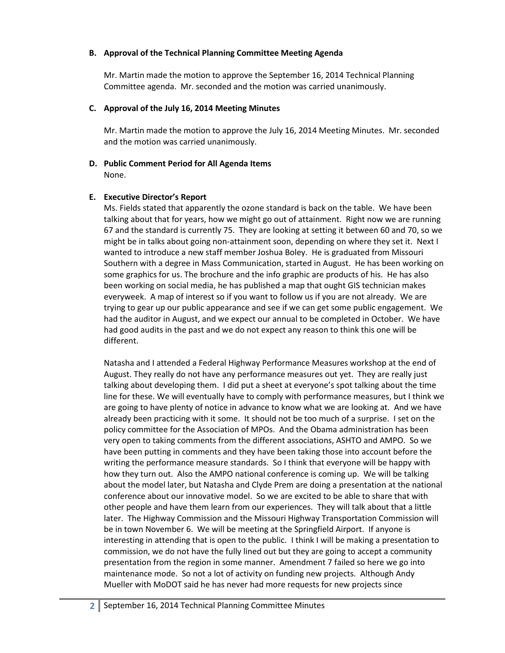#### **B. Approval of the Technical Planning Committee Meeting Agenda**

Mr. Martin made the motion to approve the September 16, 2014 Technical Planning Committee agenda. Mr. seconded and the motion was carried unanimously.

## **C. Approval of the July 16, 2014 Meeting Minutes**

Mr. Martin made the motion to approve the July 16, 2014 Meeting Minutes. Mr. seconded and the motion was carried unanimously.

#### **D. Public Comment Period for All Agenda Items** None.

### **E. Executive Director's Report**

Ms. Fields stated that apparently the ozone standard is back on the table. We have been talking about that for years, how we might go out of attainment. Right now we are running 67 and the standard is currently 75. They are looking at setting it between 60 and 70, so we might be in talks about going non-attainment soon, depending on where they set it. Next I wanted to introduce a new staff member Joshua Boley. He is graduated from Missouri Southern with a degree in Mass Communication, started in August. He has been working on some graphics for us. The brochure and the info graphic are products of his. He has also been working on social media, he has published a map that ought GIS technician makes everyweek. A map of interest so if you want to follow us if you are not already. We are trying to gear up our public appearance and see if we can get some public engagement. We had the auditor in August, and we expect our annual to be completed in October. We have had good audits in the past and we do not expect any reason to think this one will be different.

Natasha and I attended a Federal Highway Performance Measures workshop at the end of August. They really do not have any performance measures out yet. They are really just talking about developing them. I did put a sheet at everyone's spot talking about the time line for these. We will eventually have to comply with performance measures, but I think we are going to have plenty of notice in advance to know what we are looking at. And we have already been practicing with it some. It should not be too much of a surprise. I set on the policy committee for the Association of MPOs. And the Obama administration has been very open to taking comments from the different associations, ASHTO and AMPO. So we have been putting in comments and they have been taking those into account before the writing the performance measure standards. So I think that everyone will be happy with how they turn out. Also the AMPO national conference is coming up. We will be talking about the model later, but Natasha and Clyde Prem are doing a presentation at the national conference about our innovative model. So we are excited to be able to share that with other people and have them learn from our experiences. They will talk about that a little later. The Highway Commission and the Missouri Highway Transportation Commission will be in town November 6. We will be meeting at the Springfield Airport. If anyone is interesting in attending that is open to the public. I think I will be making a presentation to commission, we do not have the fully lined out but they are going to accept a community presentation from the region in some manner. Amendment 7 failed so here we go into maintenance mode. So not a lot of activity on funding new projects. Although Andy Mueller with MoDOT said he has never had more requests for new projects since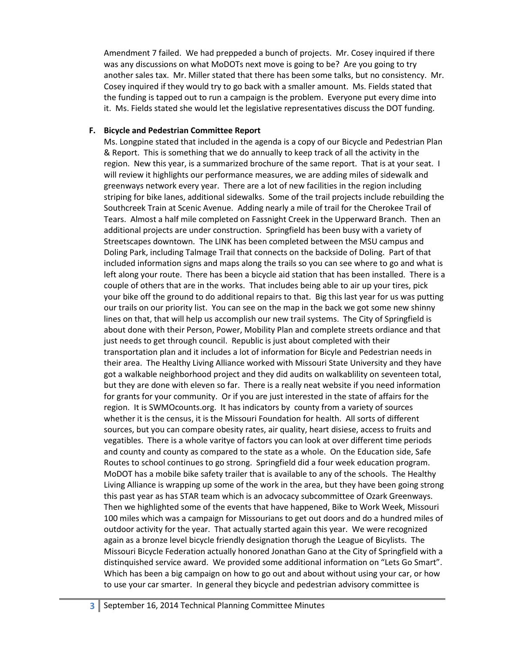Amendment 7 failed. We had preppeded a bunch of projects. Mr. Cosey inquired if there was any discussions on what MoDOTs next move is going to be? Are you going to try another sales tax. Mr. Miller stated that there has been some talks, but no consistency. Mr. Cosey inquired if they would try to go back with a smaller amount. Ms. Fields stated that the funding is tapped out to run a campaign is the problem. Everyone put every dime into it. Ms. Fields stated she would let the legislative representatives discuss the DOT funding.

#### **F. Bicycle and Pedestrian Committee Report**

Ms. Longpine stated that included in the agenda is a copy of our Bicycle and Pedestrian Plan & Report. This is something that we do annually to keep track of all the activity in the region. New this year, is a summarized brochure of the same report. That is at your seat. I will review it highlights our performance measures, we are adding miles of sidewalk and greenways network every year. There are a lot of new facilities in the region including striping for bike lanes, additional sidewalks. Some of the trail projects include rebuilding the Southcreek Train at Scenic Avenue. Adding nearly a mile of trail for the Cherokee Trail of Tears. Almost a half mile completed on Fassnight Creek in the Upperward Branch. Then an additional projects are under construction. Springfield has been busy with a variety of Streetscapes downtown. The LINK has been completed between the MSU campus and Doling Park, including Talmage Trail that connects on the backside of Doling. Part of that included information signs and maps along the trails so you can see where to go and what is left along your route. There has been a bicycle aid station that has been installed. There is a couple of others that are in the works. That includes being able to air up your tires, pick your bike off the ground to do additional repairs to that. Big this last year for us was putting our trails on our priority list. You can see on the map in the back we got some new shinny lines on that, that will help us accomplish our new trail systems. The City of Springfield is about done with their Person, Power, Mobility Plan and complete streets ordiance and that just needs to get through council. Republic is just about completed with their transportation plan and it includes a lot of information for Bicyle and Pedestrian needs in their area. The Healthy Living Alliance worked with Missouri State University and they have got a walkable neighborhood project and they did audits on walkablility on seventeen total, but they are done with eleven so far. There is a really neat website if you need information for grants for your community. Or if you are just interested in the state of affairs for the region. It is SWMOcounts.org. It has indicators by county from a variety of sources whether it is the census, it is the Missouri Foundation for health. All sorts of different sources, but you can compare obesity rates, air quality, heart disiese, access to fruits and vegatibles. There is a whole varitye of factors you can look at over different time periods and county and county as compared to the state as a whole. On the Education side, Safe Routes to school continues to go strong. Springfield did a four week education program. MoDOT has a mobile bike safety trailer that is available to any of the schools. The Healthy Living Alliance is wrapping up some of the work in the area, but they have been going strong this past year as has STAR team which is an advocacy subcommittee of Ozark Greenways. Then we highlighted some of the events that have happened, Bike to Work Week, Missouri 100 miles which was a campaign for Missourians to get out doors and do a hundred miles of outdoor activity for the year. That actually started again this year. We were recognized again as a bronze level bicycle friendly designation thorugh the League of Bicylists. The Missouri Bicycle Federation actually honored Jonathan Gano at the City of Springfield with a distinquished service award. We provided some additional information on "Lets Go Smart". Which has been a big campaign on how to go out and about without using your car, or how to use your car smarter. In general they bicycle and pedestrian advisory committee is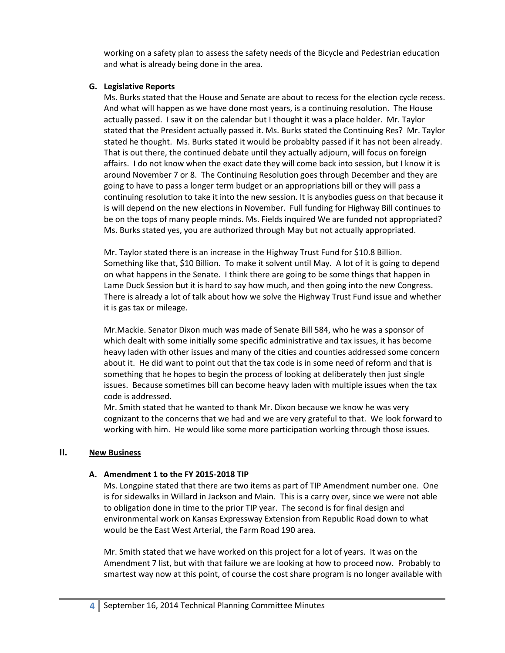working on a safety plan to assess the safety needs of the Bicycle and Pedestrian education and what is already being done in the area.

### **G. Legislative Reports**

Ms. Burks stated that the House and Senate are about to recess for the election cycle recess. And what will happen as we have done most years, is a continuing resolution. The House actually passed. I saw it on the calendar but I thought it was a place holder. Mr. Taylor stated that the President actually passed it. Ms. Burks stated the Continuing Res? Mr. Taylor stated he thought. Ms. Burks stated it would be probablty passed if it has not been already. That is out there, the continued debate until they actually adjourn, will focus on foreign affairs. I do not know when the exact date they will come back into session, but I know it is around November 7 or 8. The Continuing Resolution goes through December and they are going to have to pass a longer term budget or an appropriations bill or they will pass a continuing resolution to take it into the new session. It is anybodies guess on that because it is will depend on the new elections in November. Full funding for Highway Bill continues to be on the tops of many people minds. Ms. Fields inquired We are funded not appropriated? Ms. Burks stated yes, you are authorized through May but not actually appropriated.

Mr. Taylor stated there is an increase in the Highway Trust Fund for \$10.8 Billion. Something like that, \$10 Billion. To make it solvent until May. A lot of it is going to depend on what happens in the Senate. I think there are going to be some things that happen in Lame Duck Session but it is hard to say how much, and then going into the new Congress. There is already a lot of talk about how we solve the Highway Trust Fund issue and whether it is gas tax or mileage.

Mr.Mackie. Senator Dixon much was made of Senate Bill 584, who he was a sponsor of which dealt with some initially some specific administrative and tax issues, it has become heavy laden with other issues and many of the cities and counties addressed some concern about it. He did want to point out that the tax code is in some need of reform and that is something that he hopes to begin the process of looking at deliberately then just single issues. Because sometimes bill can become heavy laden with multiple issues when the tax code is addressed.

Mr. Smith stated that he wanted to thank Mr. Dixon because we know he was very cognizant to the concerns that we had and we are very grateful to that. We look forward to working with him. He would like some more participation working through those issues.

#### **II. New Business**

#### **A. Amendment 1 to the FY 2015-2018 TIP**

Ms. Longpine stated that there are two items as part of TIP Amendment number one. One is for sidewalks in Willard in Jackson and Main. This is a carry over, since we were not able to obligation done in time to the prior TIP year. The second is for final design and environmental work on Kansas Expressway Extension from Republic Road down to what would be the East West Arterial, the Farm Road 190 area.

Mr. Smith stated that we have worked on this project for a lot of years. It was on the Amendment 7 list, but with that failure we are looking at how to proceed now. Probably to smartest way now at this point, of course the cost share program is no longer available with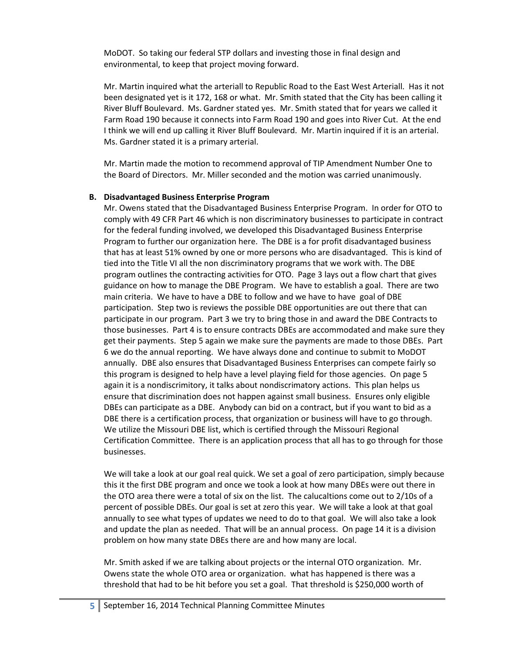MoDOT. So taking our federal STP dollars and investing those in final design and environmental, to keep that project moving forward.

Mr. Martin inquired what the arteriall to Republic Road to the East West Arteriall. Has it not been designated yet is it 172, 168 or what. Mr. Smith stated that the City has been calling it River Bluff Boulevard. Ms. Gardner stated yes. Mr. Smith stated that for years we called it Farm Road 190 because it connects into Farm Road 190 and goes into River Cut. At the end I think we will end up calling it River Bluff Boulevard. Mr. Martin inquired if it is an arterial. Ms. Gardner stated it is a primary arterial.

Mr. Martin made the motion to recommend approval of TIP Amendment Number One to the Board of Directors. Mr. Miller seconded and the motion was carried unanimously.

### **B. Disadvantaged Business Enterprise Program**

Mr. Owens stated that the Disadvantaged Business Enterprise Program. In order for OTO to comply with 49 CFR Part 46 which is non discriminatory businesses to participate in contract for the federal funding involved, we developed this Disadvantaged Business Enterprise Program to further our organization here. The DBE is a for profit disadvantaged business that has at least 51% owned by one or more persons who are disadvantaged. This is kind of tied into the Title VI all the non discriminatory programs that we work with. The DBE program outlines the contracting activities for OTO. Page 3 lays out a flow chart that gives guidance on how to manage the DBE Program. We have to establish a goal. There are two main criteria. We have to have a DBE to follow and we have to have goal of DBE participation. Step two is reviews the possible DBE opportunities are out there that can participate in our program. Part 3 we try to bring those in and award the DBE Contracts to those businesses. Part 4 is to ensure contracts DBEs are accommodated and make sure they get their payments. Step 5 again we make sure the payments are made to those DBEs. Part 6 we do the annual reporting. We have always done and continue to submit to MoDOT annually. DBE also ensures that Disadvantaged Business Enterprises can compete fairly so this program is designed to help have a level playing field for those agencies. On page 5 again it is a nondiscrimitory, it talks about nondiscrimatory actions. This plan helps us ensure that discrimination does not happen against small business. Ensures only eligible DBEs can participate as a DBE. Anybody can bid on a contract, but if you want to bid as a DBE there is a certification process, that organization or business will have to go through. We utilize the Missouri DBE list, which is certified through the Missouri Regional Certification Committee. There is an application process that all has to go through for those businesses.

We will take a look at our goal real quick. We set a goal of zero participation, simply because this it the first DBE program and once we took a look at how many DBEs were out there in the OTO area there were a total of six on the list. The calucaltions come out to 2/10s of a percent of possible DBEs. Our goal is set at zero this year. We will take a look at that goal annually to see what types of updates we need to do to that goal. We will also take a look and update the plan as needed. That will be an annual process. On page 14 it is a division problem on how many state DBEs there are and how many are local.

Mr. Smith asked if we are talking about projects or the internal OTO organization. Mr. Owens state the whole OTO area or organization. what has happened is there was a threshold that had to be hit before you set a goal. That threshold is \$250,000 worth of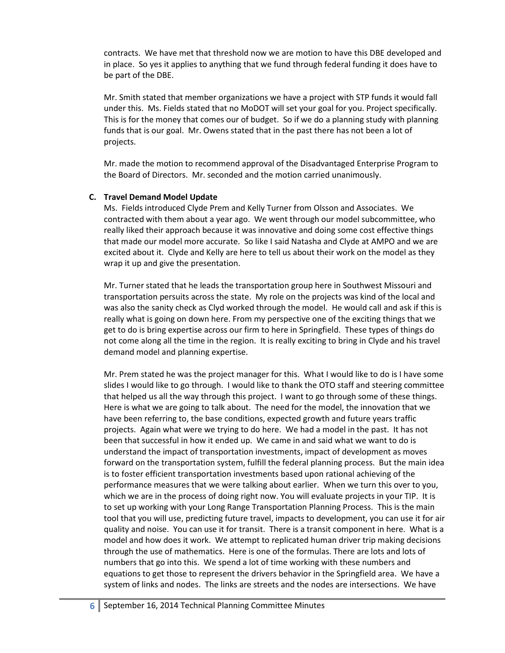contracts. We have met that threshold now we are motion to have this DBE developed and in place. So yes it applies to anything that we fund through federal funding it does have to be part of the DBE.

Mr. Smith stated that member organizations we have a project with STP funds it would fall under this. Ms. Fields stated that no MoDOT will set your goal for you. Project specifically. This is for the money that comes our of budget. So if we do a planning study with planning funds that is our goal. Mr. Owens stated that in the past there has not been a lot of projects.

Mr. made the motion to recommend approval of the Disadvantaged Enterprise Program to the Board of Directors. Mr. seconded and the motion carried unanimously.

### **C. Travel Demand Model Update**

Ms. Fields introduced Clyde Prem and Kelly Turner from Olsson and Associates. We contracted with them about a year ago. We went through our model subcommittee, who really liked their approach because it was innovative and doing some cost effective things that made our model more accurate. So like I said Natasha and Clyde at AMPO and we are excited about it. Clyde and Kelly are here to tell us about their work on the model as they wrap it up and give the presentation.

Mr. Turner stated that he leads the transportation group here in Southwest Missouri and transportation persuits across the state. My role on the projects was kind of the local and was also the sanity check as Clyd worked through the model. He would call and ask if this is really what is going on down here. From my perspective one of the exciting things that we get to do is bring expertise across our firm to here in Springfield. These types of things do not come along all the time in the region. It is really exciting to bring in Clyde and his travel demand model and planning expertise.

Mr. Prem stated he was the project manager for this. What I would like to do is I have some slides I would like to go through. I would like to thank the OTO staff and steering committee that helped us all the way through this project. I want to go through some of these things. Here is what we are going to talk about. The need for the model, the innovation that we have been referring to, the base conditions, expected growth and future years traffic projects. Again what were we trying to do here. We had a model in the past. It has not been that successful in how it ended up. We came in and said what we want to do is understand the impact of transportation investments, impact of development as moves forward on the transportation system, fulfill the federal planning process. But the main idea is to foster efficient transportation investments based upon rational achieving of the performance measures that we were talking about earlier. When we turn this over to you, which we are in the process of doing right now. You will evaluate projects in your TIP. It is to set up working with your Long Range Transportation Planning Process. This is the main tool that you will use, predicting future travel, impacts to development, you can use it for air quality and noise. You can use it for transit. There is a transit component in here. What is a model and how does it work. We attempt to replicated human driver trip making decisions through the use of mathematics. Here is one of the formulas. There are lots and lots of numbers that go into this. We spend a lot of time working with these numbers and equations to get those to represent the drivers behavior in the Springfield area. We have a system of links and nodes. The links are streets and the nodes are intersections. We have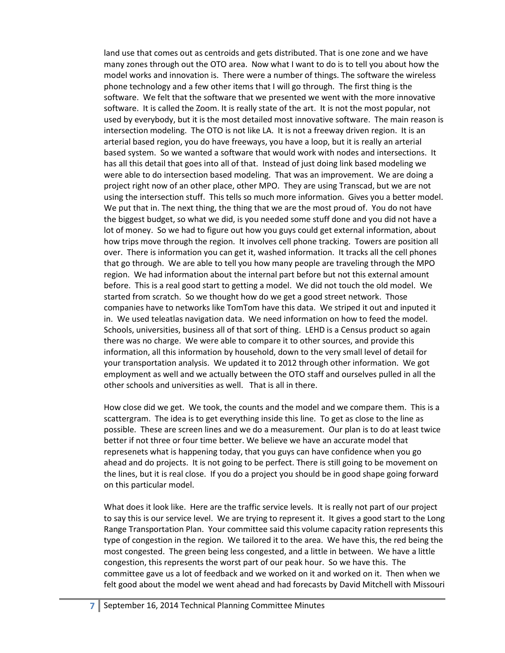land use that comes out as centroids and gets distributed. That is one zone and we have many zones through out the OTO area. Now what I want to do is to tell you about how the model works and innovation is. There were a number of things. The software the wireless phone technology and a few other items that I will go through. The first thing is the software. We felt that the software that we presented we went with the more innovative software. It is called the Zoom. It is really state of the art. It is not the most popular, not used by everybody, but it is the most detailed most innovative software. The main reason is intersection modeling. The OTO is not like LA. It is not a freeway driven region. It is an arterial based region, you do have freeways, you have a loop, but it is really an arterial based system. So we wanted a software that would work with nodes and intersections. It has all this detail that goes into all of that. Instead of just doing link based modeling we were able to do intersection based modeling. That was an improvement. We are doing a project right now of an other place, other MPO. They are using Transcad, but we are not using the intersection stuff. This tells so much more information. Gives you a better model. We put that in. The next thing, the thing that we are the most proud of. You do not have the biggest budget, so what we did, is you needed some stuff done and you did not have a lot of money. So we had to figure out how you guys could get external information, about how trips move through the region. It involves cell phone tracking. Towers are position all over. There is information you can get it, washed information. It tracks all the cell phones that go through. We are able to tell you how many people are traveling through the MPO region. We had information about the internal part before but not this external amount before. This is a real good start to getting a model. We did not touch the old model. We started from scratch. So we thought how do we get a good street network. Those companies have to networks like TomTom have this data. We striped it out and inputed it in. We used teleatlas navigation data. We need information on how to feed the model. Schools, universities, business all of that sort of thing. LEHD is a Census product so again there was no charge. We were able to compare it to other sources, and provide this information, all this information by household, down to the very small level of detail for your transportation analysis. We updated it to 2012 through other information. We got employment as well and we actually between the OTO staff and ourselves pulled in all the other schools and universities as well. That is all in there.

How close did we get. We took, the counts and the model and we compare them. This is a scattergram. The idea is to get everything inside this line. To get as close to the line as possible. These are screen lines and we do a measurement. Our plan is to do at least twice better if not three or four time better. We believe we have an accurate model that represenets what is happening today, that you guys can have confidence when you go ahead and do projects. It is not going to be perfect. There is still going to be movement on the lines, but it is real close. If you do a project you should be in good shape going forward on this particular model.

What does it look like. Here are the traffic service levels. It is really not part of our project to say this is our service level. We are trying to represent it. It gives a good start to the Long Range Transportation Plan. Your committee said this volume capacity ration represents this type of congestion in the region. We tailored it to the area. We have this, the red being the most congested. The green being less congested, and a little in between. We have a little congestion, this represents the worst part of our peak hour. So we have this. The committee gave us a lot of feedback and we worked on it and worked on it. Then when we felt good about the model we went ahead and had forecasts by David Mitchell with Missouri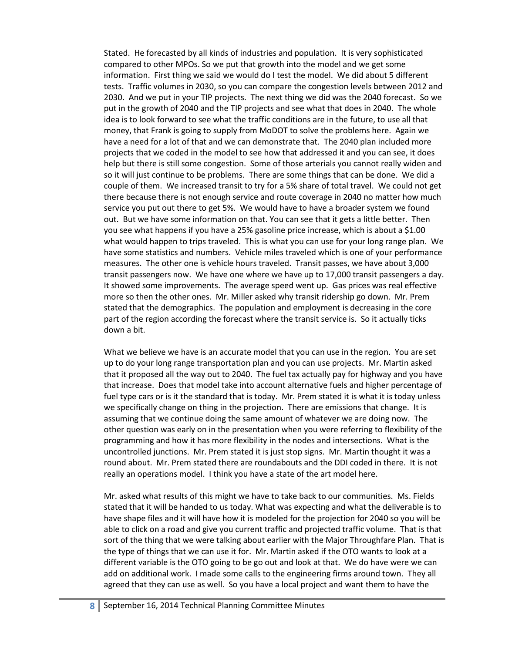Stated. He forecasted by all kinds of industries and population. It is very sophisticated compared to other MPOs. So we put that growth into the model and we get some information. First thing we said we would do I test the model. We did about 5 different tests. Traffic volumes in 2030, so you can compare the congestion levels between 2012 and 2030. And we put in your TIP projects. The next thing we did was the 2040 forecast. So we put in the growth of 2040 and the TIP projects and see what that does in 2040. The whole idea is to look forward to see what the traffic conditions are in the future, to use all that money, that Frank is going to supply from MoDOT to solve the problems here. Again we have a need for a lot of that and we can demonstrate that. The 2040 plan included more projects that we coded in the model to see how that addressed it and you can see, it does help but there is still some congestion. Some of those arterials you cannot really widen and so it will just continue to be problems. There are some things that can be done. We did a couple of them. We increased transit to try for a 5% share of total travel. We could not get there because there is not enough service and route coverage in 2040 no matter how much service you put out there to get 5%. We would have to have a broader system we found out. But we have some information on that. You can see that it gets a little better. Then you see what happens if you have a 25% gasoline price increase, which is about a \$1.00 what would happen to trips traveled. This is what you can use for your long range plan. We have some statistics and numbers. Vehicle miles traveled which is one of your performance measures. The other one is vehicle hours traveled. Transit passes, we have about 3,000 transit passengers now. We have one where we have up to 17,000 transit passengers a day. It showed some improvements. The average speed went up. Gas prices was real effective more so then the other ones. Mr. Miller asked why transit ridership go down. Mr. Prem stated that the demographics. The population and employment is decreasing in the core part of the region according the forecast where the transit service is. So it actually ticks down a bit.

What we believe we have is an accurate model that you can use in the region. You are set up to do your long range transportation plan and you can use projects. Mr. Martin asked that it proposed all the way out to 2040. The fuel tax actually pay for highway and you have that increase. Does that model take into account alternative fuels and higher percentage of fuel type cars or is it the standard that is today. Mr. Prem stated it is what it is today unless we specifically change on thing in the projection. There are emissions that change. It is assuming that we continue doing the same amount of whatever we are doing now. The other question was early on in the presentation when you were referring to flexibility of the programming and how it has more flexibility in the nodes and intersections. What is the uncontrolled junctions. Mr. Prem stated it is just stop signs. Mr. Martin thought it was a round about. Mr. Prem stated there are roundabouts and the DDI coded in there. It is not really an operations model. I think you have a state of the art model here.

Mr. asked what results of this might we have to take back to our communities. Ms. Fields stated that it will be handed to us today. What was expecting and what the deliverable is to have shape files and it will have how it is modeled for the projection for 2040 so you will be able to click on a road and give you current traffic and projected traffic volume. That is that sort of the thing that we were talking about earlier with the Major Throughfare Plan. That is the type of things that we can use it for. Mr. Martin asked if the OTO wants to look at a different variable is the OTO going to be go out and look at that. We do have were we can add on additional work. I made some calls to the engineering firms around town. They all agreed that they can use as well. So you have a local project and want them to have the